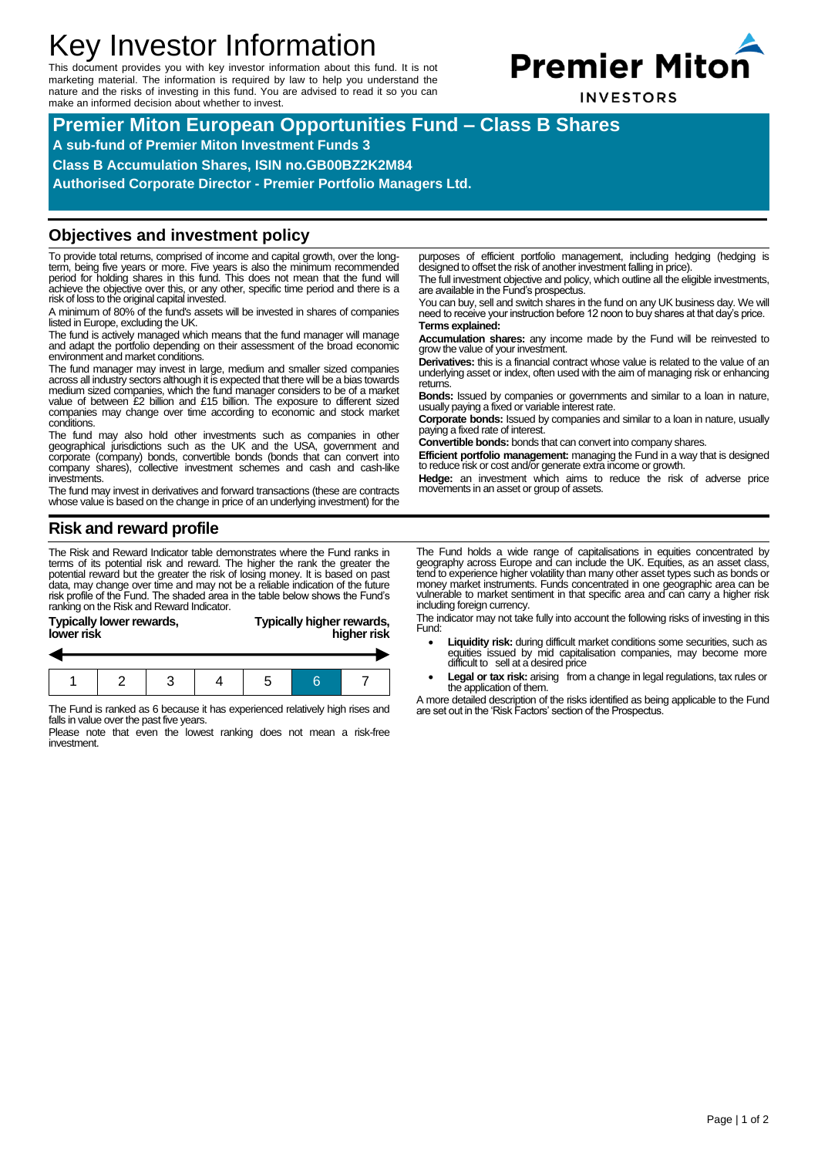# Key Investor Information

This document provides you with key investor information about this fund. It is not marketing material. The information is required by law to help you understand the nature and the risks of investing in this fund. You are advised to read it so you can make an informed decision about whether to invest.



**Premier Miton European Opportunities Fund – Class B Shares**

**A sub-fund of Premier Miton Investment Funds 3**

**Class B Accumulation Shares, ISIN no.GB00BZ2K2M84**

**Authorised Corporate Director - Premier Portfolio Managers Ltd.**

#### **Objectives and investment policy**

To provide total returns, comprised of income and capital growth, over the longterm, being five years or more. Five years is also the minimum recommended period for holding shares in this fund. This does not mean that the fund will achieve the objective over this, or any other, specific time period and there is a risk of loss to the original capital invested.

A minimum of 80% of the fund's assets will be invested in shares of companies listed in Europe, excluding the UK.

The fund is actively managed which means that the fund manager will manage and adapt the portfolio depending on their assessment of the broad economic environment and market conditions.

The fund manager may invest in large, medium and smaller sized companies across all industry sectors although it is expected that there will be a bias towards<br>medium sized companies, which the fund manager considers to be of a market<br>value of between £2 billion and £15 billion. The exposure to companies may change over time according to economic and stock market conditions.

The fund may also hold other investments such as companies in other geographical jurisdictions such as the UK and the USA, government and corporate (company) bonds, convertible bonds (bonds that can convert into company shares), collective investment schemes and cash and cash-like investments.

The fund may invest in derivatives and forward transactions (these are contracts whose value is based on the change in price of an underlying investment) for the

## **Risk and reward profile**

The Risk and Reward Indicator table demonstrates where the Fund ranks in terms of its potential risk and reward. The higher the rank the greater the potential reward but the greater the risk of losing money. It is based on past data, may change over time and may not be a reliable indication of the future risk profile of the Fund. The shaded area in the table below shows the Fund's ranking on the Risk and Reward Indicator.

| <b>Typically lower rewards,</b><br>lower risk | Typically higher rewards,<br>higher risk |
|-----------------------------------------------|------------------------------------------|
|                                               |                                          |
|                                               |                                          |
|                                               |                                          |

The Fund is ranked as 6 because it has experienced relatively high rises and falls in value over the past five years.

1 2 3 4 5 6 7

Please note that even the lowest ranking does not mean a risk-free investment.

purposes of efficient portfolio management, including hedging (hedging is designed to offset the risk of another investment falling in price). The full investment objective and policy, which outline all the eligible investments,

are available in the Fund's prospectus.

You can buy, sell and switch shares in the fund on any UK business day. We will need to receive your instruction before 12 noon to buy shares at that day's price. **Terms explained:**

**Accumulation shares:** any income made by the Fund will be reinvested to grow the value of your investment.

**Derivatives:** this is a financial contract whose value is related to the value of an underlying asset or index, often used with the aim of managing risk or enhancing returns.

**Bonds:** Issued by companies or governments and similar to a loan in nature, usually paying a fixed or variable interest rate.

**Corporate bonds:** Issued by companies and similar to a loan in nature, usually paying a fixed rate of interest.

**Convertible bonds:** bonds that can convert into company shares.

**Efficient portfolio management:** managing the Fund in a way that is designed to reduce risk or cost and/or generate extra income or growth.

**Hedge:** an investment which aims to reduce the risk of adverse price movements in an asset or group of assets.

The Fund holds a wide range of capitalisations in equities concentrated by geography across Europe and can include the UK. Equities, as an asset class, tend to experience higher volatility than many other asset types such as bonds or money market instruments. Funds concentrated in one geographic area can be vulnerable to market sentiment in that specific area and can carry a higher risk including foreign currency.

The indicator may not take fully into account the following risks of investing in this Fund:

- Liquidity risk: during difficult market conditions some securities, such as equities issued by mid capitalisation companies, may become more difficult to sell at a desired price
- Legal or tax risk: arising from a change in legal regulations, tax rules or the application of them.

A more detailed description of the risks identified as being applicable to the Fund are set out in the 'Risk Factors' section of the Prospectus.